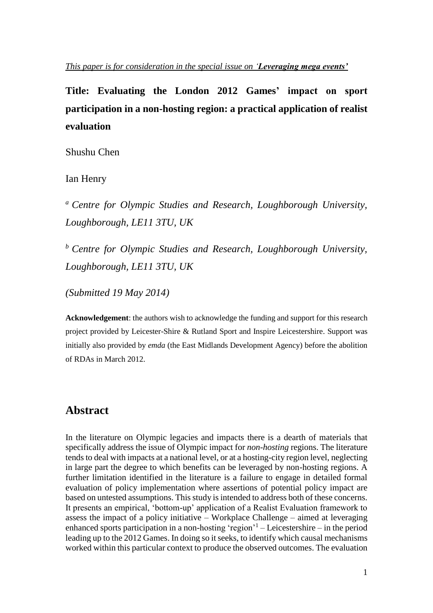**Title: Evaluating the London 2012 Games' impact on sport participation in a non-hosting region: a practical application of realist evaluation**

Shushu Chen

Ian Henry

*<sup>a</sup>Centre for Olympic Studies and Research, Loughborough University, Loughborough, LE11 3TU, UK*

*<sup>b</sup>Centre for Olympic Studies and Research, Loughborough University, Loughborough, LE11 3TU, UK*

*(Submitted 19 May 2014)*

**Acknowledgement**: the authors wish to acknowledge the funding and support for this research project provided by Leicester-Shire & Rutland Sport and Inspire Leicestershire. Support was initially also provided by *emda* (the East Midlands Development Agency) before the abolition of RDAs in March 2012.

## **Abstract**

In the literature on Olympic legacies and impacts there is a dearth of materials that specifically address the issue of Olympic impact for *non-hosting* regions. The literature tends to deal with impacts at a national level, or at a hosting-city region level, neglecting in large part the degree to which benefits can be leveraged by non-hosting regions. A further limitation identified in the literature is a failure to engage in detailed formal evaluation of policy implementation where assertions of potential policy impact are based on untested assumptions. This study is intended to address both of these concerns. It presents an empirical, 'bottom-up' application of a Realist Evaluation framework to assess the impact of a policy initiative – Workplace Challenge – aimed at leveraging enhanced sports participation in a non-hosting 'region'<sup>1</sup> – Leicestershire – in the period leading up to the 2012 Games. In doing so it seeks, to identify which causal mechanisms worked within this particular context to produce the observed outcomes. The evaluation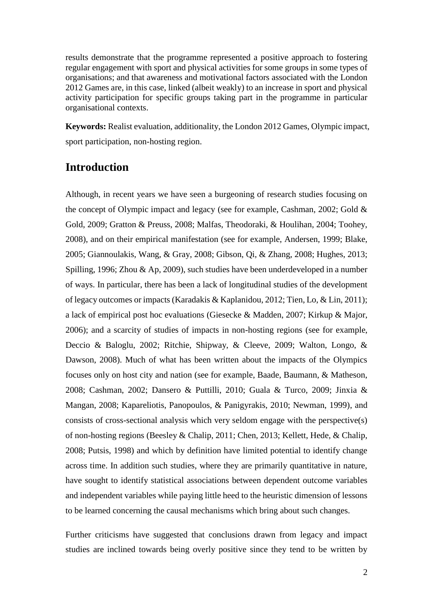results demonstrate that the programme represented a positive approach to fostering regular engagement with sport and physical activities for some groups in some types of organisations; and that awareness and motivational factors associated with the London 2012 Games are, in this case, linked (albeit weakly) to an increase in sport and physical activity participation for specific groups taking part in the programme in particular organisational contexts.

**Keywords:** Realist evaluation, additionality, the London 2012 Games, Olympic impact, sport participation, non-hosting region.

## **Introduction**

Although, in recent years we have seen a burgeoning of research studies focusing on the concept of Olympic impact and legacy (see for example, Cashman, 2002; Gold & Gold, 2009; Gratton & Preuss, 2008; Malfas, Theodoraki, & Houlihan, 2004; Toohey, 2008), and on their empirical manifestation (see for example, Andersen, 1999; Blake, 2005; Giannoulakis, Wang, & Gray, 2008; Gibson, Qi, & Zhang, 2008; Hughes, 2013; Spilling, 1996; Zhou & Ap, 2009), such studies have been underdeveloped in a number of ways. In particular, there has been a lack of longitudinal studies of the development of legacy outcomes or impacts (Karadakis & Kaplanidou, 2012; Tien, Lo, & Lin, 2011); a lack of empirical post hoc evaluations (Giesecke & Madden, 2007; Kirkup & Major, 2006); and a scarcity of studies of impacts in non-hosting regions (see for example, Deccio & Baloglu, 2002; Ritchie, Shipway, & Cleeve, 2009; Walton, Longo, & Dawson, 2008). Much of what has been written about the impacts of the Olympics focuses only on host city and nation (see for example, Baade, Baumann, & Matheson, 2008; Cashman, 2002; Dansero & Puttilli, 2010; Guala & Turco, 2009; Jinxia & Mangan, 2008; Kapareliotis, Panopoulos, & Panigyrakis, 2010; Newman, 1999), and consists of cross-sectional analysis which very seldom engage with the perspective(s) of non-hosting regions (Beesley & Chalip, 2011; Chen, 2013; Kellett, Hede, & Chalip, 2008; Putsis, 1998) and which by definition have limited potential to identify change across time. In addition such studies, where they are primarily quantitative in nature, have sought to identify statistical associations between dependent outcome variables and independent variables while paying little heed to the heuristic dimension of lessons to be learned concerning the causal mechanisms which bring about such changes.

Further criticisms have suggested that conclusions drawn from legacy and impact studies are inclined towards being overly positive since they tend to be written by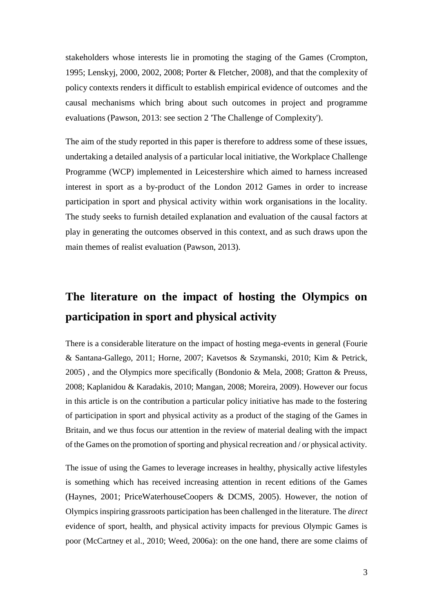stakeholders whose interests lie in promoting the staging of the Games (Crompton, 1995; Lenskyj, 2000, 2002, 2008; Porter & Fletcher, 2008), and that the complexity of policy contexts renders it difficult to establish empirical evidence of outcomes and the causal mechanisms which bring about such outcomes in project and programme evaluations (Pawson, 2013: see section 2 'The Challenge of Complexity').

The aim of the study reported in this paper is therefore to address some of these issues, undertaking a detailed analysis of a particular local initiative, the Workplace Challenge Programme (WCP) implemented in Leicestershire which aimed to harness increased interest in sport as a by-product of the London 2012 Games in order to increase participation in sport and physical activity within work organisations in the locality. The study seeks to furnish detailed explanation and evaluation of the causal factors at play in generating the outcomes observed in this context, and as such draws upon the main themes of realist evaluation (Pawson, 2013).

# **The literature on the impact of hosting the Olympics on participation in sport and physical activity**

There is a considerable literature on the impact of hosting mega-events in general (Fourie & Santana-Gallego, 2011; Horne, 2007; Kavetsos & Szymanski, 2010; Kim & Petrick, 2005) , and the Olympics more specifically (Bondonio & Mela, 2008; Gratton & Preuss, 2008; Kaplanidou & Karadakis, 2010; Mangan, 2008; Moreira, 2009). However our focus in this article is on the contribution a particular policy initiative has made to the fostering of participation in sport and physical activity as a product of the staging of the Games in Britain, and we thus focus our attention in the review of material dealing with the impact of the Games on the promotion of sporting and physical recreation and / or physical activity.

The issue of using the Games to leverage increases in healthy, physically active lifestyles is something which has received increasing attention in recent editions of the Games (Haynes, 2001; PriceWaterhouseCoopers & DCMS, 2005). However, the notion of Olympics inspiring grassroots participation has been challenged in the literature. The *direct*  evidence of sport, health, and physical activity impacts for previous Olympic Games is poor (McCartney et al., 2010; Weed, 2006a): on the one hand, there are some claims of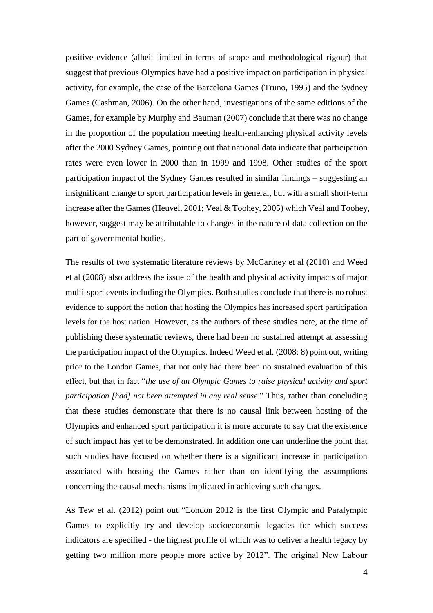positive evidence (albeit limited in terms of scope and methodological rigour) that suggest that previous Olympics have had a positive impact on participation in physical activity, for example, the case of the Barcelona Games (Truno, 1995) and the Sydney Games (Cashman, 2006). On the other hand, investigations of the same editions of the Games, for example by Murphy and Bauman (2007) conclude that there was no change in the proportion of the population meeting health-enhancing physical activity levels after the 2000 Sydney Games, pointing out that national data indicate that participation rates were even lower in 2000 than in 1999 and 1998. Other studies of the sport participation impact of the Sydney Games resulted in similar findings – suggesting an insignificant change to sport participation levels in general, but with a small short-term increase after the Games (Heuvel, 2001; Veal & Toohey, 2005) which Veal and Toohey, however, suggest may be attributable to changes in the nature of data collection on the part of governmental bodies.

The results of two systematic literature reviews by McCartney et al (2010) and Weed et al (2008) also address the issue of the health and physical activity impacts of major multi-sport events including the Olympics. Both studies conclude that there is no robust evidence to support the notion that hosting the Olympics has increased sport participation levels for the host nation. However, as the authors of these studies note, at the time of publishing these systematic reviews, there had been no sustained attempt at assessing the participation impact of the Olympics. Indeed Weed et al. (2008: 8) point out, writing prior to the London Games, that not only had there been no sustained evaluation of this effect, but that in fact "*the use of an Olympic Games to raise physical activity and sport participation [had] not been attempted in any real sense*." Thus, rather than concluding that these studies demonstrate that there is no causal link between hosting of the Olympics and enhanced sport participation it is more accurate to say that the existence of such impact has yet to be demonstrated. In addition one can underline the point that such studies have focused on whether there is a significant increase in participation associated with hosting the Games rather than on identifying the assumptions concerning the causal mechanisms implicated in achieving such changes.

As Tew et al. (2012) point out "London 2012 is the first Olympic and Paralympic Games to explicitly try and develop socioeconomic legacies for which success indicators are specified - the highest profile of which was to deliver a health legacy by getting two million more people more active by 2012". The original New Labour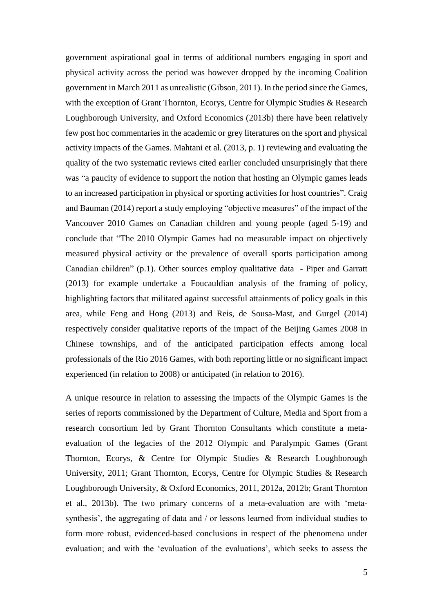government aspirational goal in terms of additional numbers engaging in sport and physical activity across the period was however dropped by the incoming Coalition government in March 2011 as unrealistic (Gibson, 2011). In the period since the Games, with the exception of Grant Thornton, Ecorys, Centre for Olympic Studies & Research Loughborough University, and Oxford Economics (2013b) there have been relatively few post hoc commentaries in the academic or grey literatures on the sport and physical activity impacts of the Games. Mahtani et al. (2013, p. 1) reviewing and evaluating the quality of the two systematic reviews cited earlier concluded unsurprisingly that there was "a paucity of evidence to support the notion that hosting an Olympic games leads to an increased participation in physical or sporting activities for host countries". Craig and Bauman (2014) report a study employing "objective measures" of the impact of the Vancouver 2010 Games on Canadian children and young people (aged 5-19) and conclude that "The 2010 Olympic Games had no measurable impact on objectively measured physical activity or the prevalence of overall sports participation among Canadian children" (p.1). Other sources employ qualitative data - Piper and Garratt (2013) for example undertake a Foucauldian analysis of the framing of policy, highlighting factors that militated against successful attainments of policy goals in this area, while Feng and Hong (2013) and Reis, de Sousa-Mast, and Gurgel (2014) respectively consider qualitative reports of the impact of the Beijing Games 2008 in Chinese townships, and of the anticipated participation effects among local professionals of the Rio 2016 Games, with both reporting little or no significant impact experienced (in relation to 2008) or anticipated (in relation to 2016).

A unique resource in relation to assessing the impacts of the Olympic Games is the series of reports commissioned by the Department of Culture, Media and Sport from a research consortium led by Grant Thornton Consultants which constitute a metaevaluation of the legacies of the 2012 Olympic and Paralympic Games (Grant Thornton, Ecorys, & Centre for Olympic Studies & Research Loughborough University, 2011; Grant Thornton, Ecorys, Centre for Olympic Studies & Research Loughborough University, & Oxford Economics, 2011, 2012a, 2012b; Grant Thornton et al., 2013b). The two primary concerns of a meta-evaluation are with 'metasynthesis', the aggregating of data and / or lessons learned from individual studies to form more robust, evidenced-based conclusions in respect of the phenomena under evaluation; and with the 'evaluation of the evaluations', which seeks to assess the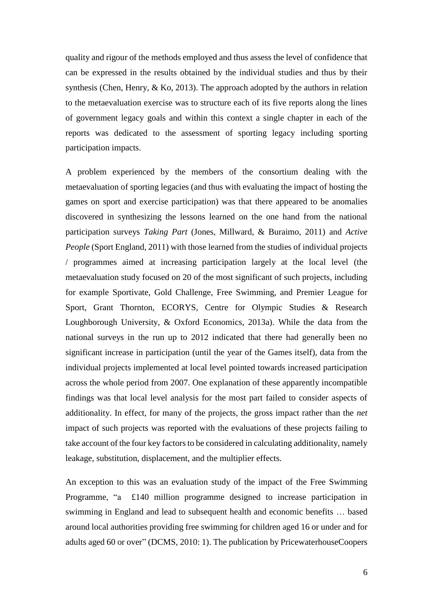quality and rigour of the methods employed and thus assess the level of confidence that can be expressed in the results obtained by the individual studies and thus by their synthesis (Chen, Henry, & Ko, 2013). The approach adopted by the authors in relation to the metaevaluation exercise was to structure each of its five reports along the lines of government legacy goals and within this context a single chapter in each of the reports was dedicated to the assessment of sporting legacy including sporting participation impacts.

A problem experienced by the members of the consortium dealing with the metaevaluation of sporting legacies (and thus with evaluating the impact of hosting the games on sport and exercise participation) was that there appeared to be anomalies discovered in synthesizing the lessons learned on the one hand from the national participation surveys *Taking Part* (Jones, Millward, & Buraimo, 2011) and *Active People* (Sport England, 2011) with those learned from the studies of individual projects / programmes aimed at increasing participation largely at the local level (the metaevaluation study focused on 20 of the most significant of such projects, including for example Sportivate, Gold Challenge, Free Swimming, and Premier League for Sport, Grant Thornton, ECORYS, Centre for Olympic Studies & Research Loughborough University, & Oxford Economics, 2013a). While the data from the national surveys in the run up to 2012 indicated that there had generally been no significant increase in participation (until the year of the Games itself), data from the individual projects implemented at local level pointed towards increased participation across the whole period from 2007. One explanation of these apparently incompatible findings was that local level analysis for the most part failed to consider aspects of additionality. In effect, for many of the projects, the gross impact rather than the *net* impact of such projects was reported with the evaluations of these projects failing to take account of the four key factors to be considered in calculating additionality, namely leakage, substitution, displacement, and the multiplier effects.

An exception to this was an evaluation study of the impact of the Free Swimming Programme, "a £140 million programme designed to increase participation in swimming in England and lead to subsequent health and economic benefits … based around local authorities providing free swimming for children aged 16 or under and for adults aged 60 or over" (DCMS, 2010: 1). The publication by PricewaterhouseCoopers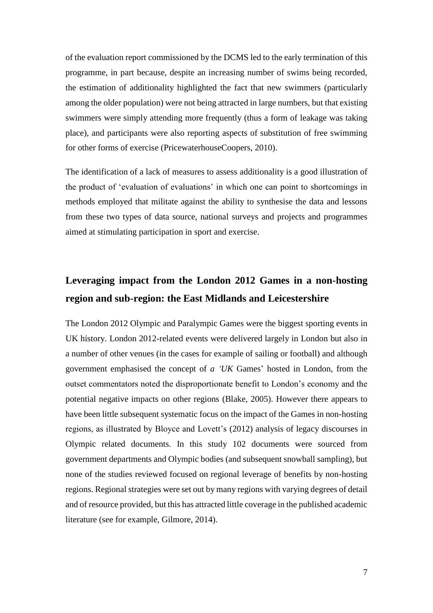of the evaluation report commissioned by the DCMS led to the early termination of this programme, in part because, despite an increasing number of swims being recorded, the estimation of additionality highlighted the fact that new swimmers (particularly among the older population) were not being attracted in large numbers, but that existing swimmers were simply attending more frequently (thus a form of leakage was taking place), and participants were also reporting aspects of substitution of free swimming for other forms of exercise (PricewaterhouseCoopers, 2010).

The identification of a lack of measures to assess additionality is a good illustration of the product of 'evaluation of evaluations' in which one can point to shortcomings in methods employed that militate against the ability to synthesise the data and lessons from these two types of data source, national surveys and projects and programmes aimed at stimulating participation in sport and exercise.

## **Leveraging impact from the London 2012 Games in a non-hosting region and sub-region: the East Midlands and Leicestershire**

The London 2012 Olympic and Paralympic Games were the biggest sporting events in UK history. London 2012-related events were delivered largely in London but also in a number of other venues (in the cases for example of sailing or football) and although government emphasised the concept of *a 'UK* Games' hosted in London, from the outset commentators noted the disproportionate benefit to London's economy and the potential negative impacts on other regions (Blake, 2005). However there appears to have been little subsequent systematic focus on the impact of the Games in non-hosting regions, as illustrated by Bloyce and Lovett's (2012) analysis of legacy discourses in Olympic related documents. In this study 102 documents were sourced from government departments and Olympic bodies (and subsequent snowball sampling), but none of the studies reviewed focused on regional leverage of benefits by non-hosting regions. Regional strategies were set out by many regions with varying degrees of detail and of resource provided, but this has attracted little coverage in the published academic literature (see for example, Gilmore, 2014).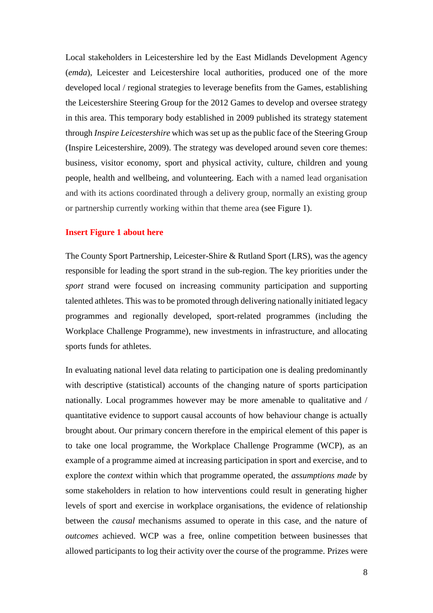Local stakeholders in Leicestershire led by the East Midlands Development Agency (*emda*), Leicester and Leicestershire local authorities, produced one of the more developed local / regional strategies to leverage benefits from the Games, establishing the Leicestershire Steering Group for the 2012 Games to develop and oversee strategy in this area. This temporary body established in 2009 published its strategy statement through *Inspire Leicestershire* which was set up as the public face of the Steering Group (Inspire Leicestershire, 2009). The strategy was developed around seven core themes: business, visitor economy, sport and physical activity, culture, children and young people, health and wellbeing, and volunteering. Each with a named lead organisation and with its actions coordinated through a delivery group, normally an existing group or partnership currently working within that theme area (see Figure 1).

#### **Insert Figure 1 about here**

The County Sport Partnership, Leicester-Shire & Rutland Sport (LRS), was the agency responsible for leading the sport strand in the sub-region. The key priorities under the *sport* strand were focused on increasing community participation and supporting talented athletes. This was to be promoted through delivering nationally initiated legacy programmes and regionally developed, sport-related programmes (including the Workplace Challenge Programme), new investments in infrastructure, and allocating sports funds for athletes.

In evaluating national level data relating to participation one is dealing predominantly with descriptive (statistical) accounts of the changing nature of sports participation nationally. Local programmes however may be more amenable to qualitative and / quantitative evidence to support causal accounts of how behaviour change is actually brought about. Our primary concern therefore in the empirical element of this paper is to take one local programme, the Workplace Challenge Programme (WCP), as an example of a programme aimed at increasing participation in sport and exercise, and to explore the *context* within which that programme operated, the *assumptions made* by some stakeholders in relation to how interventions could result in generating higher levels of sport and exercise in workplace organisations, the evidence of relationship between the *causal* mechanisms assumed to operate in this case, and the nature of *outcomes* achieved. WCP was a free, online competition between businesses that allowed participants to log their activity over the course of the programme. Prizes were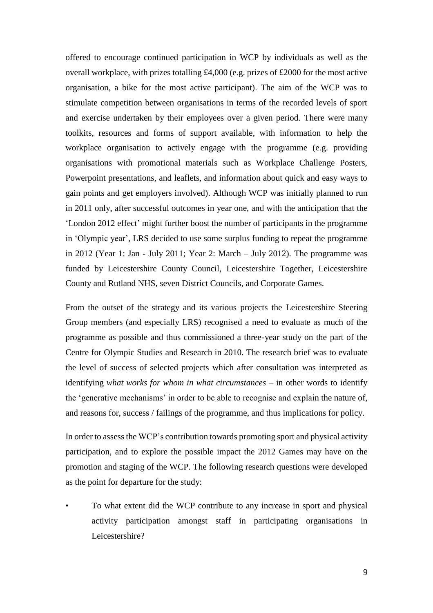offered to encourage continued participation in WCP by individuals as well as the overall workplace, with prizes totalling £4,000 (e.g. prizes of £2000 for the most active organisation, a bike for the most active participant). The aim of the WCP was to stimulate competition between organisations in terms of the recorded levels of sport and exercise undertaken by their employees over a given period. There were many toolkits, resources and forms of support available, with information to help the workplace organisation to actively engage with the programme (e.g. providing organisations with promotional materials such as Workplace Challenge Posters, Powerpoint presentations, and leaflets, and information about quick and easy ways to gain points and get employers involved). Although WCP was initially planned to run in 2011 only, after successful outcomes in year one, and with the anticipation that the 'London 2012 effect' might further boost the number of participants in the programme in 'Olympic year', LRS decided to use some surplus funding to repeat the programme in 2012 (Year 1: Jan - July 2011; Year 2: March – July 2012). The programme was funded by Leicestershire County Council, Leicestershire Together, Leicestershire County and Rutland NHS, seven District Councils, and Corporate Games.

From the outset of the strategy and its various projects the Leicestershire Steering Group members (and especially LRS) recognised a need to evaluate as much of the programme as possible and thus commissioned a three-year study on the part of the Centre for Olympic Studies and Research in 2010. The research brief was to evaluate the level of success of selected projects which after consultation was interpreted as identifying *what works for whom in what circumstances* – in other words to identify the 'generative mechanisms' in order to be able to recognise and explain the nature of, and reasons for, success / failings of the programme, and thus implications for policy.

In order to assess the WCP's contribution towards promoting sport and physical activity participation, and to explore the possible impact the 2012 Games may have on the promotion and staging of the WCP. The following research questions were developed as the point for departure for the study:

• To what extent did the WCP contribute to any increase in sport and physical activity participation amongst staff in participating organisations in Leicestershire?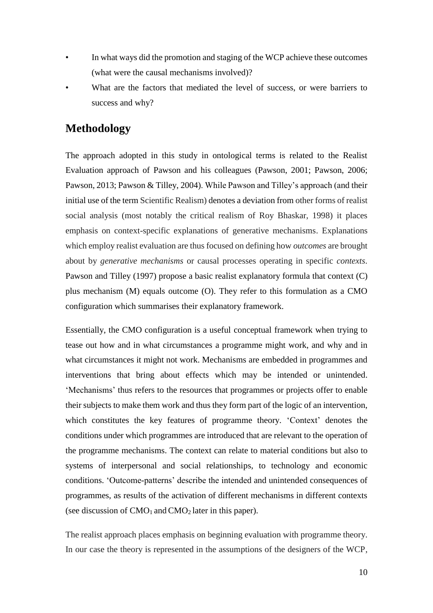- In what ways did the promotion and staging of the WCP achieve these outcomes (what were the causal mechanisms involved)?
- What are the factors that mediated the level of success, or were barriers to success and why?

## **Methodology**

The approach adopted in this study in ontological terms is related to the Realist Evaluation approach of Pawson and his colleagues (Pawson, 2001; Pawson, 2006; Pawson, 2013; Pawson & Tilley, 2004). While Pawson and Tilley's approach (and their initial use of the term Scientific Realism) denotes a deviation from other forms of realist social analysis (most notably the critical realism of Roy Bhaskar, 1998) it places emphasis on context-specific explanations of generative mechanisms. Explanations which employ realist evaluation are thus focused on defining how *outcomes* are brought about by *generative mechanisms* or causal processes operating in specific *contexts*. Pawson and Tilley (1997) propose a basic realist explanatory formula that context (C) plus mechanism (M) equals outcome (O). They refer to this formulation as a CMO configuration which summarises their explanatory framework.

Essentially, the CMO configuration is a useful conceptual framework when trying to tease out how and in what circumstances a programme might work, and why and in what circumstances it might not work. Mechanisms are embedded in programmes and interventions that bring about effects which may be intended or unintended. 'Mechanisms' thus refers to the resources that programmes or projects offer to enable their subjects to make them work and thus they form part of the logic of an intervention, which constitutes the key features of programme theory. 'Context' denotes the conditions under which programmes are introduced that are relevant to the operation of the programme mechanisms. The context can relate to material conditions but also to systems of interpersonal and social relationships, to technology and economic conditions. 'Outcome-patterns' describe the intended and unintended consequences of programmes, as results of the activation of different mechanisms in different contexts (see discussion of  $CMO<sub>1</sub>$  and  $CMO<sub>2</sub>$  later in this paper).

The realist approach places emphasis on beginning evaluation with programme theory. In our case the theory is represented in the assumptions of the designers of the WCP,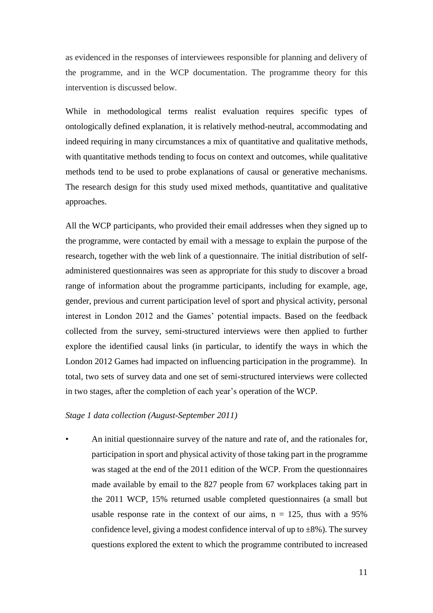as evidenced in the responses of interviewees responsible for planning and delivery of the programme, and in the WCP documentation. The programme theory for this intervention is discussed below.

While in methodological terms realist evaluation requires specific types of ontologically defined explanation, it is relatively method-neutral, accommodating and indeed requiring in many circumstances a mix of quantitative and qualitative methods, with quantitative methods tending to focus on context and outcomes, while qualitative methods tend to be used to probe explanations of causal or generative mechanisms. The research design for this study used mixed methods, quantitative and qualitative approaches.

All the WCP participants, who provided their email addresses when they signed up to the programme, were contacted by email with a message to explain the purpose of the research, together with the web link of a questionnaire. The initial distribution of selfadministered questionnaires was seen as appropriate for this study to discover a broad range of information about the programme participants, including for example, age, gender, previous and current participation level of sport and physical activity, personal interest in London 2012 and the Games' potential impacts. Based on the feedback collected from the survey, semi-structured interviews were then applied to further explore the identified causal links (in particular, to identify the ways in which the London 2012 Games had impacted on influencing participation in the programme). In total, two sets of survey data and one set of semi-structured interviews were collected in two stages, after the completion of each year's operation of the WCP.

#### *Stage 1 data collection (August-September 2011)*

• An initial questionnaire survey of the nature and rate of, and the rationales for, participation in sport and physical activity of those taking part in the programme was staged at the end of the 2011 edition of the WCP. From the questionnaires made available by email to the 827 people from 67 workplaces taking part in the 2011 WCP, 15% returned usable completed questionnaires (a small but usable response rate in the context of our aims,  $n = 125$ , thus with a 95% confidence level, giving a modest confidence interval of up to  $\pm 8\%$ ). The survey questions explored the extent to which the programme contributed to increased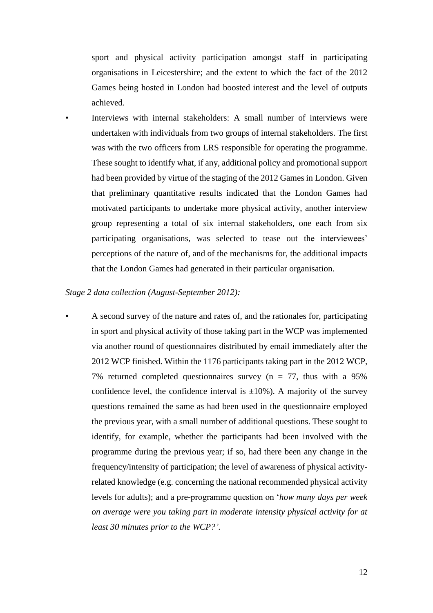sport and physical activity participation amongst staff in participating organisations in Leicestershire; and the extent to which the fact of the 2012 Games being hosted in London had boosted interest and the level of outputs achieved.

Interviews with internal stakeholders: A small number of interviews were undertaken with individuals from two groups of internal stakeholders. The first was with the two officers from LRS responsible for operating the programme. These sought to identify what, if any, additional policy and promotional support had been provided by virtue of the staging of the 2012 Games in London. Given that preliminary quantitative results indicated that the London Games had motivated participants to undertake more physical activity, another interview group representing a total of six internal stakeholders, one each from six participating organisations, was selected to tease out the interviewees' perceptions of the nature of, and of the mechanisms for, the additional impacts that the London Games had generated in their particular organisation.

#### *Stage 2 data collection (August-September 2012):*

• A second survey of the nature and rates of, and the rationales for, participating in sport and physical activity of those taking part in the WCP was implemented via another round of questionnaires distributed by email immediately after the 2012 WCP finished. Within the 1176 participants taking part in the 2012 WCP, 7% returned completed questionnaires survey (n = 77, thus with a 95% confidence level, the confidence interval is  $\pm 10\%$ ). A majority of the survey questions remained the same as had been used in the questionnaire employed the previous year, with a small number of additional questions. These sought to identify, for example, whether the participants had been involved with the programme during the previous year; if so, had there been any change in the frequency/intensity of participation; the level of awareness of physical activityrelated knowledge (e.g. concerning the national recommended physical activity levels for adults); and a pre-programme question on '*how many days per week on average were you taking part in moderate intensity physical activity for at least 30 minutes prior to the WCP?'*.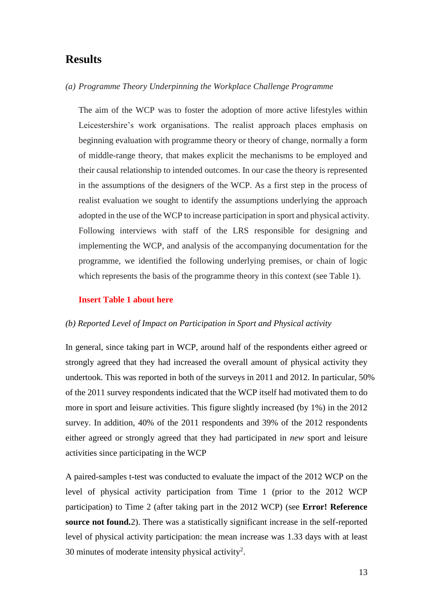## **Results**

*(a) Programme Theory Underpinning the Workplace Challenge Programme*

The aim of the WCP was to foster the adoption of more active lifestyles within Leicestershire's work organisations. The realist approach places emphasis on beginning evaluation with programme theory or theory of change, normally a form of middle-range theory, that makes explicit the mechanisms to be employed and their causal relationship to intended outcomes. In our case the theory is represented in the assumptions of the designers of the WCP. As a first step in the process of realist evaluation we sought to identify the assumptions underlying the approach adopted in the use of the WCP to increase participation in sport and physical activity. Following interviews with staff of the LRS responsible for designing and implementing the WCP, and analysis of the accompanying documentation for the programme, we identified the following underlying premises, or chain of logic which represents the basis of the programme theory in this context (see Table 1).

#### **Insert Table 1 about here**

#### *(b) Reported Level of Impact on Participation in Sport and Physical activity*

In general, since taking part in WCP, around half of the respondents either agreed or strongly agreed that they had increased the overall amount of physical activity they undertook. This was reported in both of the surveys in 2011 and 2012. In particular, 50% of the 2011 survey respondents indicated that the WCP itself had motivated them to do more in sport and leisure activities. This figure slightly increased (by 1%) in the 2012 survey. In addition, 40% of the 2011 respondents and 39% of the 2012 respondents either agreed or strongly agreed that they had participated in *new* sport and leisure activities since participating in the WCP

A paired-samples t-test was conducted to evaluate the impact of the 2012 WCP on the level of physical activity participation from Time 1 (prior to the 2012 WCP participation) to Time 2 (after taking part in the 2012 WCP) (see **Error! Reference source not found.**2). There was a statistically significant increase in the self-reported level of physical activity participation: the mean increase was 1.33 days with at least 30 minutes of moderate intensity physical activity<sup>2</sup>.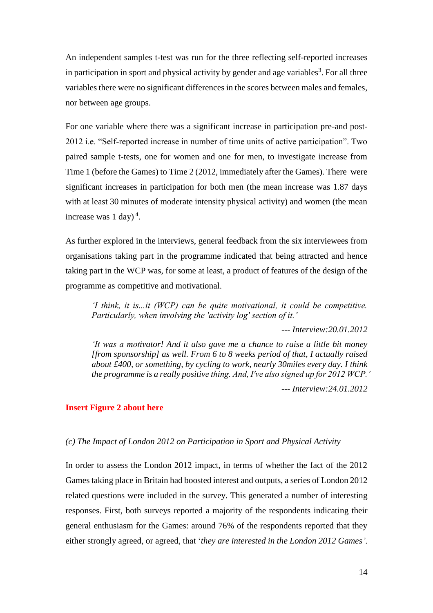An independent samples t-test was run for the three reflecting self-reported increases in participation in sport and physical activity by gender and age variables<sup>3</sup>. For all three variables there were no significant differences in the scores between males and females, nor between age groups.

For one variable where there was a significant increase in participation pre-and post-2012 i.e. "Self-reported increase in number of time units of active participation". Two paired sample t-tests, one for women and one for men, to investigate increase from Time 1 (before the Games) to Time 2 (2012, immediately after the Games). There were significant increases in participation for both men (the mean increase was 1.87 days with at least 30 minutes of moderate intensity physical activity) and women (the mean increase was 1 day)<sup>4</sup>.

As further explored in the interviews, general feedback from the six interviewees from organisations taking part in the programme indicated that being attracted and hence taking part in the WCP was, for some at least, a product of features of the design of the programme as competitive and motivational.

*'I think, it is...it (WCP) can be quite motivational, it could be competitive. Particularly, when involving the 'activity log' section of it.'*

*--- Interview:20.01.2012* 

*'It was a motivator! And it also gave me a chance to raise a little bit money [from sponsorship] as well. From 6 to 8 weeks period of that, I actually raised about £400, or something, by cycling to work, nearly 30miles every day. I think the programme is a really positive thing. And, I've also signed up for 2012 WCP.'*

*--- Interview:24.01.2012* 

#### **Insert Figure 2 about here**

#### *(c) The Impact of London 2012 on Participation in Sport and Physical Activity*

In order to assess the London 2012 impact, in terms of whether the fact of the 2012 Games taking place in Britain had boosted interest and outputs, a series of London 2012 related questions were included in the survey. This generated a number of interesting responses. First, both surveys reported a majority of the respondents indicating their general enthusiasm for the Games: around 76% of the respondents reported that they either strongly agreed, or agreed, that '*they are interested in the London 2012 Games'*.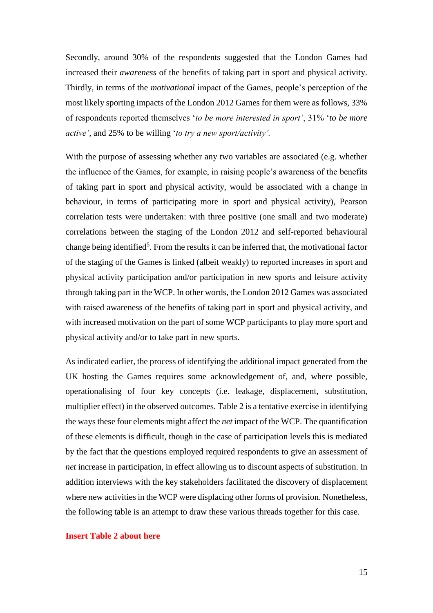Secondly, around 30% of the respondents suggested that the London Games had increased their *awareness* of the benefits of taking part in sport and physical activity. Thirdly, in terms of the *motivational* impact of the Games, people's perception of the most likely sporting impacts of the London 2012 Games for them were as follows, 33% of respondents reported themselves '*to be more interested in sport'*, 31% '*to be more active'*, and 25% to be willing '*to try a new sport/activity'.*

With the purpose of assessing whether any two variables are associated (e.g. whether the influence of the Games, for example, in raising people's awareness of the benefits of taking part in sport and physical activity, would be associated with a change in behaviour, in terms of participating more in sport and physical activity), Pearson correlation tests were undertaken: with three positive (one small and two moderate) correlations between the staging of the London 2012 and self-reported behavioural change being identified<sup>5</sup>. From the results it can be inferred that, the motivational factor of the staging of the Games is linked (albeit weakly) to reported increases in sport and physical activity participation and/or participation in new sports and leisure activity through taking part in the WCP. In other words, the London 2012 Games was associated with raised awareness of the benefits of taking part in sport and physical activity, and with increased motivation on the part of some WCP participants to play more sport and physical activity and/or to take part in new sports.

As indicated earlier, the process of identifying the additional impact generated from the UK hosting the Games requires some acknowledgement of, and, where possible, operationalising of four key concepts (i.e. leakage, displacement, substitution, multiplier effect) in the observed outcomes. Table 2 is a tentative exercise in identifying the ways these four elements might affect the *net* impact of the WCP. The quantification of these elements is difficult, though in the case of participation levels this is mediated by the fact that the questions employed required respondents to give an assessment of *net* increase in participation, in effect allowing us to discount aspects of substitution. In addition interviews with the key stakeholders facilitated the discovery of displacement where new activities in the WCP were displacing other forms of provision. Nonetheless, the following table is an attempt to draw these various threads together for this case.

#### **Insert Table 2 about here**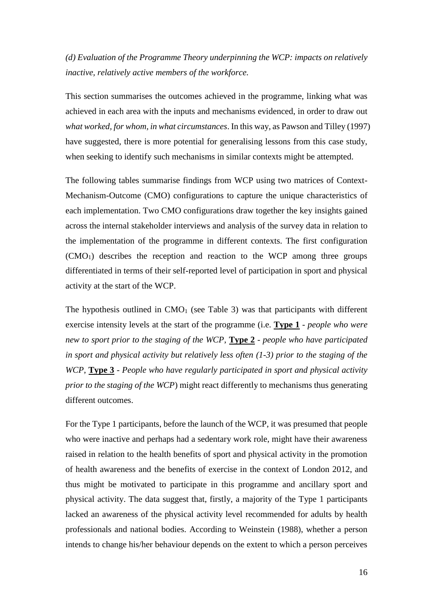*(d) Evaluation of the Programme Theory underpinning the WCP: impacts on relatively inactive, relatively active members of the workforce.*

This section summarises the outcomes achieved in the programme, linking what was achieved in each area with the inputs and mechanisms evidenced, in order to draw out *what worked, for whom, in what circumstances*. In this way, as Pawson and Tilley (1997) have suggested, there is more potential for generalising lessons from this case study, when seeking to identify such mechanisms in similar contexts might be attempted.

The following tables summarise findings from WCP using two matrices of Context-Mechanism-Outcome (CMO) configurations to capture the unique characteristics of each implementation. Two CMO configurations draw together the key insights gained across the internal stakeholder interviews and analysis of the survey data in relation to the implementation of the programme in different contexts. The first configuration  $(CMO<sub>1</sub>)$  describes the reception and reaction to the WCP among three groups differentiated in terms of their self-reported level of participation in sport and physical activity at the start of the WCP.

The hypothesis outlined in  $CMO<sub>1</sub>$  (see Table 3) was that participants with different exercise intensity levels at the start of the programme (i.e. **Type 1** - *people who were new to sport prior to the staging of the WCP*, **Type 2** - *people who have participated in sport and physical activity but relatively less often (1-3) prior to the staging of the WCP*, **Type 3** - *People who have regularly participated in sport and physical activity prior to the staging of the WCP*) might react differently to mechanisms thus generating different outcomes.

For the Type 1 participants, before the launch of the WCP, it was presumed that people who were inactive and perhaps had a sedentary work role, might have their awareness raised in relation to the health benefits of sport and physical activity in the promotion of health awareness and the benefits of exercise in the context of London 2012, and thus might be motivated to participate in this programme and ancillary sport and physical activity. The data suggest that, firstly, a majority of the Type 1 participants lacked an awareness of the physical activity level recommended for adults by health professionals and national bodies. According to Weinstein (1988), whether a person intends to change his/her behaviour depends on the extent to which a person perceives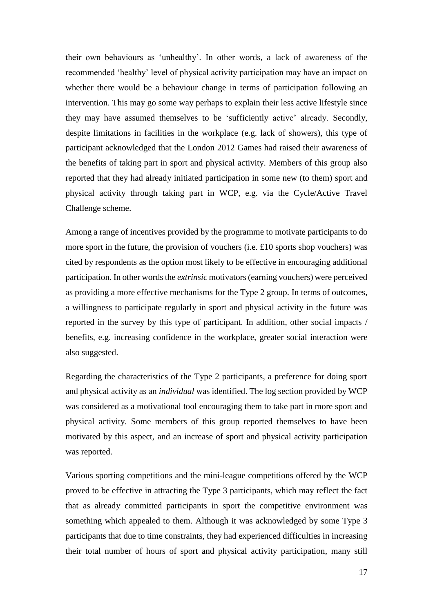their own behaviours as 'unhealthy'. In other words, a lack of awareness of the recommended 'healthy' level of physical activity participation may have an impact on whether there would be a behaviour change in terms of participation following an intervention. This may go some way perhaps to explain their less active lifestyle since they may have assumed themselves to be 'sufficiently active' already. Secondly, despite limitations in facilities in the workplace (e.g. lack of showers), this type of participant acknowledged that the London 2012 Games had raised their awareness of the benefits of taking part in sport and physical activity. Members of this group also reported that they had already initiated participation in some new (to them) sport and physical activity through taking part in WCP, e.g. via the Cycle/Active Travel Challenge scheme.

Among a range of incentives provided by the programme to motivate participants to do more sport in the future, the provision of vouchers (i.e. £10 sports shop vouchers) was cited by respondents as the option most likely to be effective in encouraging additional participation. In other words the *extrinsic* motivators(earning vouchers) were perceived as providing a more effective mechanisms for the Type 2 group. In terms of outcomes, a willingness to participate regularly in sport and physical activity in the future was reported in the survey by this type of participant. In addition, other social impacts / benefits, e.g. increasing confidence in the workplace, greater social interaction were also suggested.

Regarding the characteristics of the Type 2 participants, a preference for doing sport and physical activity as an *individual* was identified. The log section provided by WCP was considered as a motivational tool encouraging them to take part in more sport and physical activity. Some members of this group reported themselves to have been motivated by this aspect, and an increase of sport and physical activity participation was reported.

Various sporting competitions and the mini-league competitions offered by the WCP proved to be effective in attracting the Type 3 participants, which may reflect the fact that as already committed participants in sport the competitive environment was something which appealed to them. Although it was acknowledged by some Type 3 participants that due to time constraints, they had experienced difficulties in increasing their total number of hours of sport and physical activity participation, many still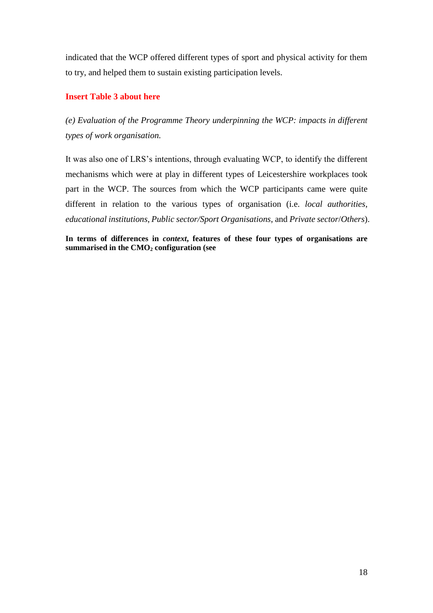indicated that the WCP offered different types of sport and physical activity for them to try, and helped them to sustain existing participation levels.

### **Insert Table 3 about here**

*(e) Evaluation of the Programme Theory underpinning the WCP: impacts in different types of work organisation.*

It was also one of LRS's intentions, through evaluating WCP, to identify the different mechanisms which were at play in different types of Leicestershire workplaces took part in the WCP. The sources from which the WCP participants came were quite different in relation to the various types of organisation (i.e. *local authorities*, *educational institutions*, *Public sector/Sport Organisations*, and *Private sector*/*Others*).

**In terms of differences in** *context***, features of these four types of organisations are summarised in the CMO<sup>2</sup> configuration (see**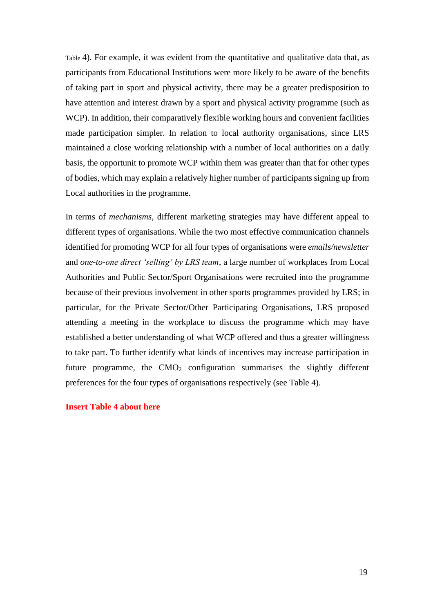[Table](#page-30-0) 4). For example, it was evident from the quantitative and qualitative data that, as participants from Educational Institutions were more likely to be aware of the benefits of taking part in sport and physical activity, there may be a greater predisposition to have attention and interest drawn by a sport and physical activity programme (such as WCP). In addition, their comparatively flexible working hours and convenient facilities made participation simpler. In relation to local authority organisations, since LRS maintained a close working relationship with a number of local authorities on a daily basis, the opportunit to promote WCP within them was greater than that for other types of bodies, which may explain a relatively higher number of participants signing up from Local authorities in the programme.

In terms of *mechanisms*, different marketing strategies may have different appeal to different types of organisations. While the two most effective communication channels identified for promoting WCP for all four types of organisations were *emails/newsletter* and *one-to-one direct 'selling' by LRS team*, a large number of workplaces from Local Authorities and Public Sector/Sport Organisations were recruited into the programme because of their previous involvement in other sports programmes provided by LRS; in particular, for the Private Sector/Other Participating Organisations, LRS proposed attending a meeting in the workplace to discuss the programme which may have established a better understanding of what WCP offered and thus a greater willingness to take part. To further identify what kinds of incentives may increase participation in future programme, the CMO<sub>2</sub> configuration summarises the slightly different preferences for the four types of organisations respectively (see Table 4).

#### **Insert Table 4 about here**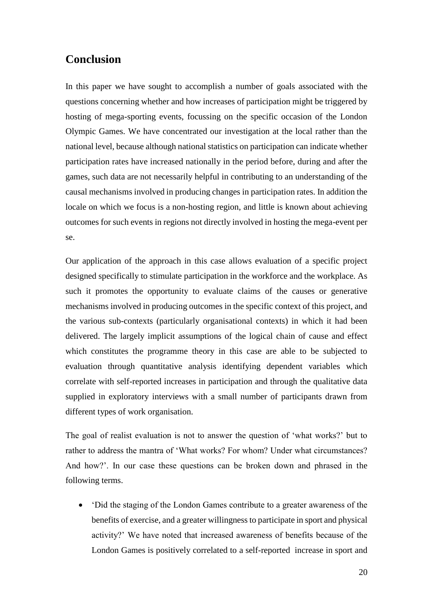## **Conclusion**

In this paper we have sought to accomplish a number of goals associated with the questions concerning whether and how increases of participation might be triggered by hosting of mega-sporting events, focussing on the specific occasion of the London Olympic Games. We have concentrated our investigation at the local rather than the national level, because although national statistics on participation can indicate whether participation rates have increased nationally in the period before, during and after the games, such data are not necessarily helpful in contributing to an understanding of the causal mechanisms involved in producing changes in participation rates. In addition the locale on which we focus is a non-hosting region, and little is known about achieving outcomes for such events in regions not directly involved in hosting the mega-event per se.

Our application of the approach in this case allows evaluation of a specific project designed specifically to stimulate participation in the workforce and the workplace. As such it promotes the opportunity to evaluate claims of the causes or generative mechanisms involved in producing outcomes in the specific context of this project, and the various sub-contexts (particularly organisational contexts) in which it had been delivered. The largely implicit assumptions of the logical chain of cause and effect which constitutes the programme theory in this case are able to be subjected to evaluation through quantitative analysis identifying dependent variables which correlate with self-reported increases in participation and through the qualitative data supplied in exploratory interviews with a small number of participants drawn from different types of work organisation.

The goal of realist evaluation is not to answer the question of 'what works?' but to rather to address the mantra of 'What works? For whom? Under what circumstances? And how?'. In our case these questions can be broken down and phrased in the following terms.

 'Did the staging of the London Games contribute to a greater awareness of the benefits of exercise, and a greater willingness to participate in sport and physical activity?' We have noted that increased awareness of benefits because of the London Games is positively correlated to a self-reported increase in sport and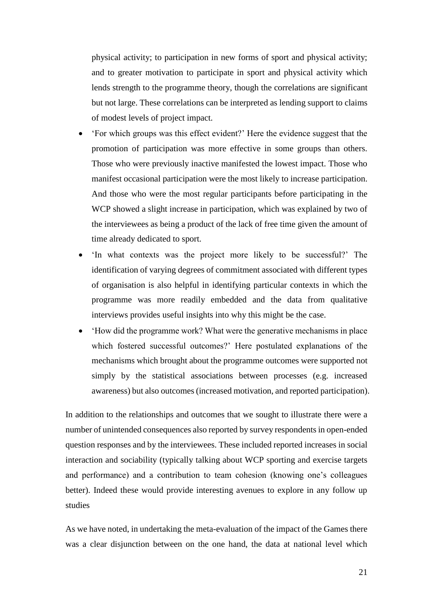physical activity; to participation in new forms of sport and physical activity; and to greater motivation to participate in sport and physical activity which lends strength to the programme theory, though the correlations are significant but not large. These correlations can be interpreted as lending support to claims of modest levels of project impact.

- 'For which groups was this effect evident?' Here the evidence suggest that the promotion of participation was more effective in some groups than others. Those who were previously inactive manifested the lowest impact. Those who manifest occasional participation were the most likely to increase participation. And those who were the most regular participants before participating in the WCP showed a slight increase in participation, which was explained by two of the interviewees as being a product of the lack of free time given the amount of time already dedicated to sport.
- 'In what contexts was the project more likely to be successful?' The identification of varying degrees of commitment associated with different types of organisation is also helpful in identifying particular contexts in which the programme was more readily embedded and the data from qualitative interviews provides useful insights into why this might be the case.
- 'How did the programme work? What were the generative mechanisms in place which fostered successful outcomes?' Here postulated explanations of the mechanisms which brought about the programme outcomes were supported not simply by the statistical associations between processes (e.g. increased awareness) but also outcomes (increased motivation, and reported participation).

In addition to the relationships and outcomes that we sought to illustrate there were a number of unintended consequences also reported by survey respondents in open-ended question responses and by the interviewees. These included reported increases in social interaction and sociability (typically talking about WCP sporting and exercise targets and performance) and a contribution to team cohesion (knowing one's colleagues better). Indeed these would provide interesting avenues to explore in any follow up studies

As we have noted, in undertaking the meta-evaluation of the impact of the Games there was a clear disjunction between on the one hand, the data at national level which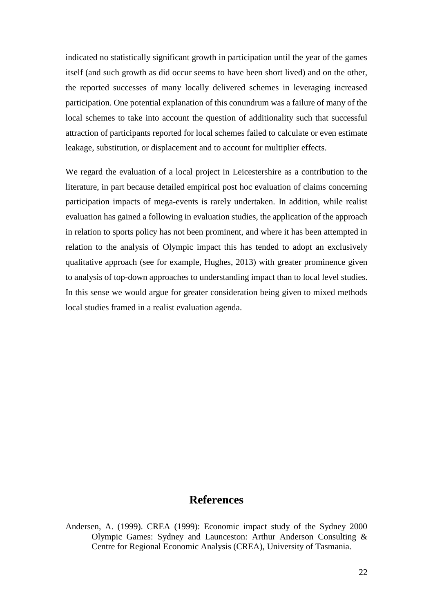indicated no statistically significant growth in participation until the year of the games itself (and such growth as did occur seems to have been short lived) and on the other, the reported successes of many locally delivered schemes in leveraging increased participation. One potential explanation of this conundrum was a failure of many of the local schemes to take into account the question of additionality such that successful attraction of participants reported for local schemes failed to calculate or even estimate leakage, substitution, or displacement and to account for multiplier effects.

We regard the evaluation of a local project in Leicestershire as a contribution to the literature, in part because detailed empirical post hoc evaluation of claims concerning participation impacts of mega-events is rarely undertaken. In addition, while realist evaluation has gained a following in evaluation studies, the application of the approach in relation to sports policy has not been prominent, and where it has been attempted in relation to the analysis of Olympic impact this has tended to adopt an exclusively qualitative approach (see for example, Hughes, 2013) with greater prominence given to analysis of top-down approaches to understanding impact than to local level studies. In this sense we would argue for greater consideration being given to mixed methods local studies framed in a realist evaluation agenda.

## **References**

Andersen, A. (1999). CREA (1999): Economic impact study of the Sydney 2000 Olympic Games: Sydney and Launceston: Arthur Anderson Consulting & Centre for Regional Economic Analysis (CREA), University of Tasmania.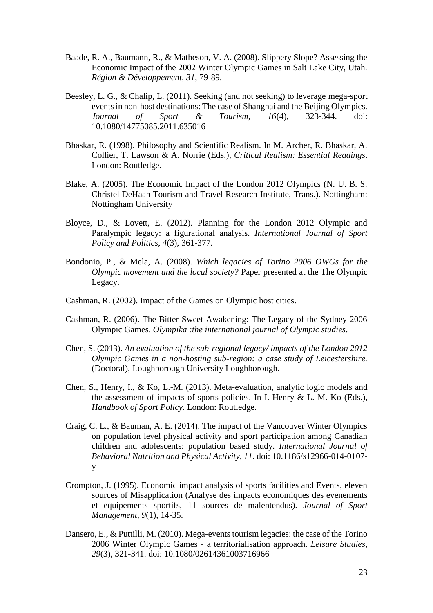- Baade, R. A., Baumann, R., & Matheson, V. A. (2008). Slippery Slope? Assessing the Economic Impact of the 2002 Winter Olympic Games in Salt Lake City, Utah. *Région & Développement, 31*, 79-89.
- Beesley, L. G., & Chalip, L. (2011). Seeking (and not seeking) to leverage mega-sport events in non-host destinations: The case of Shanghai and the Beijing Olympics.<br> *Journal* of *Sport* & *Tourism.* 16(4). 323-344. doi: *Journal of Sport & Tourism, 16*(4), 323-344. doi: 10.1080/14775085.2011.635016
- Bhaskar, R. (1998). Philosophy and Scientific Realism. In M. Archer, R. Bhaskar, A. Collier, T. Lawson & A. Norrie (Eds.), *Critical Realism: Essential Readings*. London: Routledge.
- Blake, A. (2005). The Economic Impact of the London 2012 Olympics (N. U. B. S. Christel DeHaan Tourism and Travel Research Institute, Trans.). Nottingham: Nottingham University
- Bloyce, D., & Lovett, E. (2012). Planning for the London 2012 Olympic and Paralympic legacy: a figurational analysis. *International Journal of Sport Policy and Politics, 4*(3), 361-377.
- Bondonio, P., & Mela, A. (2008). *Which legacies of Torino 2006 OWGs for the Olympic movement and the local society?* Paper presented at the The Olympic Legacy.
- Cashman, R. (2002). Impact of the Games on Olympic host cities.
- Cashman, R. (2006). The Bitter Sweet Awakening: The Legacy of the Sydney 2006 Olympic Games. *Olympika :the international journal of Olympic studies*.
- Chen, S. (2013). *An evaluation of the sub-regional legacy/ impacts of the London 2012 Olympic Games in a non-hosting sub-region: a case study of Leicestershire.* (Doctoral), Loughborough University Loughborough.
- Chen, S., Henry, I., & Ko, L.-M. (2013). Meta-evaluation, analytic logic models and the assessment of impacts of sports policies. In I. Henry & L.-M. Ko (Eds.), *Handbook of Sport Policy*. London: Routledge.
- Craig, C. L., & Bauman, A. E. (2014). The impact of the Vancouver Winter Olympics on population level physical activity and sport participation among Canadian children and adolescents: population based study. *International Journal of Behavioral Nutrition and Physical Activity, 11*. doi: 10.1186/s12966-014-0107 y
- Crompton, J. (1995). Economic impact analysis of sports facilities and Events, eleven sources of Misapplication (Analyse des impacts economiques des evenements et equipements sportifs, 11 sources de malentendus). *Journal of Sport Management, 9*(1), 14-35.
- Dansero, E., & Puttilli, M. (2010). Mega-events tourism legacies: the case of the Torino 2006 Winter Olympic Games - a territorialisation approach. *Leisure Studies, 29*(3), 321-341. doi: 10.1080/02614361003716966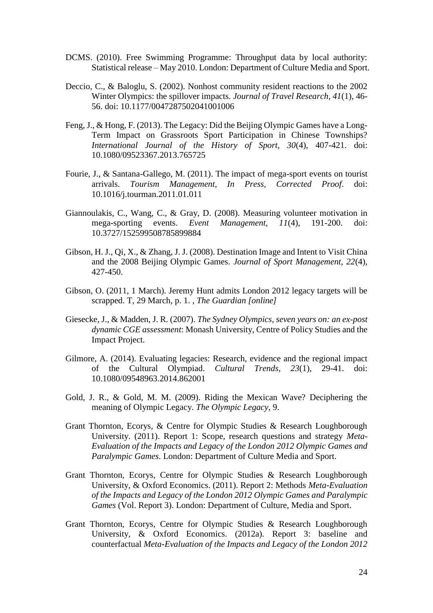- DCMS. (2010). Free Swimming Programme: Throughput data by local authority: Statistical release – May 2010. London: Department of Culture Media and Sport.
- Deccio, C., & Baloglu, S. (2002). Nonhost community resident reactions to the 2002 Winter Olympics: the spillover impacts. *Journal of Travel Research, 41*(1), 46- 56. doi: 10.1177/0047287502041001006
- Feng, J., & Hong, F. (2013). The Legacy: Did the Beijing Olympic Games have a Long-Term Impact on Grassroots Sport Participation in Chinese Townships? *International Journal of the History of Sport, 30*(4), 407-421. doi: 10.1080/09523367.2013.765725
- Fourie, J., & Santana-Gallego, M. (2011). The impact of mega-sport events on tourist arrivals. *Tourism Management, In Press, Corrected Proof*. doi: 10.1016/j.tourman.2011.01.011
- Giannoulakis, C., Wang, C., & Gray, D. (2008). Measuring volunteer motivation in mega-sporting events. *Event Management, 11*(4), 191-200. doi: 10.3727/152599508785899884
- Gibson, H. J., Qi, X., & Zhang, J. J. (2008). Destination Image and Intent to Visit China and the 2008 Beijing Olympic Games. *Journal of Sport Management, 22*(4), 427-450.
- Gibson, O. (2011, 1 March). Jeremy Hunt admits London 2012 legacy targets will be scrapped. T, 29 March, p. 1. , *The Guardian [online]*
- Giesecke, J., & Madden, J. R. (2007). *The Sydney Olympics, seven years on: an ex-post dynamic CGE assessment*: Monash University, Centre of Policy Studies and the Impact Project.
- Gilmore, A. (2014). Evaluating legacies: Research, evidence and the regional impact of the Cultural Olympiad. *Cultural Trends, 23*(1), 29-41. doi: 10.1080/09548963.2014.862001
- Gold, J. R., & Gold, M. M. (2009). Riding the Mexican Wave? Deciphering the meaning of Olympic Legacy. *The Olympic Legacy*, 9.
- Grant Thornton, Ecorys, & Centre for Olympic Studies & Research Loughborough University. (2011). Report 1: Scope, research questions and strategy *Meta-Evaluation of the Impacts and Legacy of the London 2012 Olympic Games and Paralympic Games*. London: Department of Culture Media and Sport.
- Grant Thornton, Ecorys, Centre for Olympic Studies & Research Loughborough University, & Oxford Economics. (2011). Report 2: Methods *Meta-Evaluation of the Impacts and Legacy of the London 2012 Olympic Games and Paralympic Games* (Vol. Report 3). London: Department of Culture, Media and Sport.
- Grant Thornton, Ecorys, Centre for Olympic Studies & Research Loughborough University, & Oxford Economics. (2012a). Report 3: baseline and counterfactual *Meta-Evaluation of the Impacts and Legacy of the London 2012*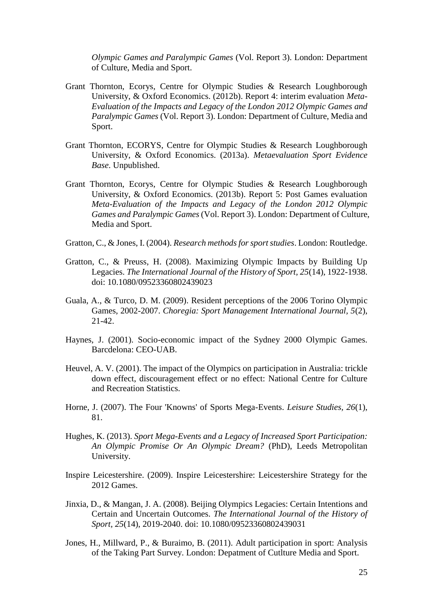*Olympic Games and Paralympic Games* (Vol. Report 3). London: Department of Culture, Media and Sport.

- Grant Thornton, Ecorys, Centre for Olympic Studies & Research Loughborough University, & Oxford Economics. (2012b). Report 4: interim evaluation *Meta-Evaluation of the Impacts and Legacy of the London 2012 Olympic Games and Paralympic Games* (Vol. Report 3). London: Department of Culture, Media and Sport.
- Grant Thornton, ECORYS, Centre for Olympic Studies & Research Loughborough University, & Oxford Economics. (2013a). *Metaevaluation Sport Evidence Base*. Unpublished.
- Grant Thornton, Ecorys, Centre for Olympic Studies & Research Loughborough University, & Oxford Economics. (2013b). Report 5: Post Games evaluation *Meta-Evaluation of the Impacts and Legacy of the London 2012 Olympic Games and Paralympic Games* (Vol. Report 3). London: Department of Culture, Media and Sport.
- Gratton, C., & Jones, I. (2004). *Research methods for sport studies*. London: Routledge.
- Gratton, C., & Preuss, H. (2008). Maximizing Olympic Impacts by Building Up Legacies. *The International Journal of the History of Sport, 25*(14), 1922-1938. doi: 10.1080/09523360802439023
- Guala, A., & Turco, D. M. (2009). Resident perceptions of the 2006 Torino Olympic Games, 2002-2007. *Choregia: Sport Management International Journal, 5*(2), 21-42.
- Haynes, J. (2001). Socio-economic impact of the Sydney 2000 Olympic Games. Barcdelona: CEO-UAB.
- Heuvel, A. V. (2001). The impact of the Olympics on participation in Australia: trickle down effect, discouragement effect or no effect: National Centre for Culture and Recreation Statistics.
- Horne, J. (2007). The Four 'Knowns' of Sports Mega-Events. *Leisure Studies, 26*(1), 81.
- Hughes, K. (2013). *Sport Mega-Events and a Legacy of Increased Sport Participation: An Olympic Promise Or An Olympic Dream?* (PhD), Leeds Metropolitan University.
- Inspire Leicestershire. (2009). Inspire Leicestershire: Leicestershire Strategy for the 2012 Games.
- Jinxia, D., & Mangan, J. A. (2008). Beijing Olympics Legacies: Certain Intentions and Certain and Uncertain Outcomes. *The International Journal of the History of Sport, 25*(14), 2019-2040. doi: 10.1080/09523360802439031
- Jones, H., Millward, P., & Buraimo, B. (2011). Adult participation in sport: Analysis of the Taking Part Survey. London: Depatment of Cutlture Media and Sport.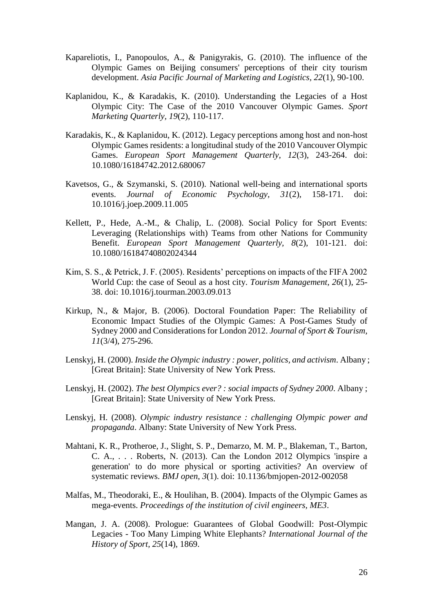- Kapareliotis, I., Panopoulos, A., & Panigyrakis, G. (2010). The influence of the Olympic Games on Beijing consumers' perceptions of their city tourism development. *Asia Pacific Journal of Marketing and Logistics, 22*(1), 90-100.
- Kaplanidou, K., & Karadakis, K. (2010). Understanding the Legacies of a Host Olympic City: The Case of the 2010 Vancouver Olympic Games. *Sport Marketing Quarterly, 19*(2), 110-117.
- Karadakis, K., & Kaplanidou, K. (2012). Legacy perceptions among host and non-host Olympic Games residents: a longitudinal study of the 2010 Vancouver Olympic Games. *European Sport Management Quarterly, 12*(3), 243-264. doi: 10.1080/16184742.2012.680067
- Kavetsos, G., & Szymanski, S. (2010). National well-being and international sports events. *Journal of Economic Psychology, 31*(2), 158-171. doi: 10.1016/j.joep.2009.11.005
- Kellett, P., Hede, A.-M., & Chalip, L. (2008). Social Policy for Sport Events: Leveraging (Relationships with) Teams from other Nations for Community Benefit. *European Sport Management Quarterly, 8*(2), 101-121. doi: 10.1080/16184740802024344
- Kim, S. S., & Petrick, J. F. (2005). Residents' perceptions on impacts of the FIFA 2002 World Cup: the case of Seoul as a host city. *Tourism Management, 26*(1), 25- 38. doi: 10.1016/j.tourman.2003.09.013
- Kirkup, N., & Major, B. (2006). Doctoral Foundation Paper: The Reliability of Economic Impact Studies of the Olympic Games: A Post-Games Study of Sydney 2000 and Considerations for London 2012. *Journal of Sport & Tourism, 11*(3/4), 275-296.
- Lenskyj, H. (2000). *Inside the Olympic industry : power, politics, and activism*. Albany ; [Great Britain]: State University of New York Press.
- Lenskyj, H. (2002). *The best Olympics ever? : social impacts of Sydney 2000*. Albany ; [Great Britain]: State University of New York Press.
- Lenskyj, H. (2008). *Olympic industry resistance : challenging Olympic power and propaganda*. Albany: State University of New York Press.
- Mahtani, K. R., Protheroe, J., Slight, S. P., Demarzo, M. M. P., Blakeman, T., Barton, C. A., . . . Roberts, N. (2013). Can the London 2012 Olympics 'inspire a generation' to do more physical or sporting activities? An overview of systematic reviews. *BMJ open, 3*(1). doi: 10.1136/bmjopen-2012-002058
- Malfas, M., Theodoraki, E., & Houlihan, B. (2004). Impacts of the Olympic Games as mega-events. *Proceedings of the institution of civil engineers, ME3*.
- Mangan, J. A. (2008). Prologue: Guarantees of Global Goodwill: Post-Olympic Legacies - Too Many Limping White Elephants? *International Journal of the History of Sport, 25*(14), 1869.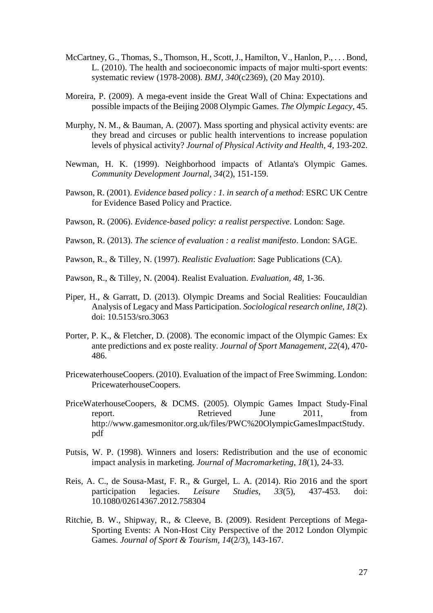- McCartney, G., Thomas, S., Thomson, H., Scott, J., Hamilton, V., Hanlon, P., . . . Bond, L. (2010). The health and socioeconomic impacts of major multi-sport events: systematic review (1978-2008). *BMJ, 340*(c2369), (20 May 2010).
- Moreira, P. (2009). A mega-event inside the Great Wall of China: Expectations and possible impacts of the Beijing 2008 Olympic Games. *The Olympic Legacy*, 45.
- Murphy, N. M., & Bauman, A. (2007). Mass sporting and physical activity events: are they bread and circuses or public health interventions to increase population levels of physical activity? *Journal of Physical Activity and Health, 4*, 193-202.
- Newman, H. K. (1999). Neighborhood impacts of Atlanta's Olympic Games. *Community Development Journal, 34*(2), 151-159.
- Pawson, R. (2001). *Evidence based policy : 1. in search of a method*: ESRC UK Centre for Evidence Based Policy and Practice.
- Pawson, R. (2006). *Evidence-based policy: a realist perspective*. London: Sage.
- Pawson, R. (2013). *The science of evaluation : a realist manifesto*. London: SAGE.
- Pawson, R., & Tilley, N. (1997). *Realistic Evaluation*: Sage Publications (CA).
- Pawson, R., & Tilley, N. (2004). Realist Evaluation. *Evaluation, 48*, 1-36.
- Piper, H., & Garratt, D. (2013). Olympic Dreams and Social Realities: Foucauldian Analysis of Legacy and Mass Participation. *Sociological research online, 18*(2). doi: 10.5153/sro.3063
- Porter, P. K., & Fletcher, D. (2008). The economic impact of the Olympic Games: Ex ante predictions and ex poste reality. *Journal of Sport Management, 22*(4), 470- 486.
- PricewaterhouseCoopers. (2010). Evaluation of the impact of Free Swimming. London: PricewaterhouseCoopers.
- PriceWaterhouseCoopers, & DCMS. (2005). Olympic Games Impact Study-Final report. Retrieved June 2011, from http://www.gamesmonitor.org.uk/files/PWC%20OlympicGamesImpactStudy. pdf
- Putsis, W. P. (1998). Winners and losers: Redistribution and the use of economic impact analysis in marketing. *Journal of Macromarketing, 18*(1), 24-33.
- Reis, A. C., de Sousa-Mast, F. R., & Gurgel, L. A. (2014). Rio 2016 and the sport participation legacies. *Leisure Studies, 33*(5), 437-453. doi: 10.1080/02614367.2012.758304
- Ritchie, B. W., Shipway, R., & Cleeve, B. (2009). Resident Perceptions of Mega-Sporting Events: A Non-Host City Perspective of the 2012 London Olympic Games. *Journal of Sport & Tourism, 14*(2/3), 143-167.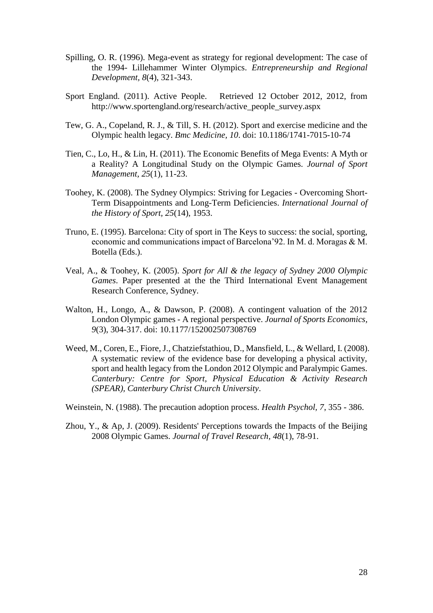- Spilling, O. R. (1996). Mega-event as strategy for regional development: The case of the 1994- Lillehammer Winter Olympics. *Entrepreneurship and Regional Development, 8*(4), 321-343.
- Sport England. (2011). Active People. Retrieved 12 October 2012, 2012, from http://www.sportengland.org/research/active\_people\_survey.aspx
- Tew, G. A., Copeland, R. J., & Till, S. H. (2012). Sport and exercise medicine and the Olympic health legacy. *Bmc Medicine, 10*. doi: 10.1186/1741-7015-10-74
- Tien, C., Lo, H., & Lin, H. (2011). The Economic Benefits of Mega Events: A Myth or a Reality? A Longitudinal Study on the Olympic Games. *Journal of Sport Management, 25*(1), 11-23.
- Toohey, K. (2008). The Sydney Olympics: Striving for Legacies Overcoming Short-Term Disappointments and Long-Term Deficiencies. *International Journal of the History of Sport, 25*(14), 1953.
- Truno, E. (1995). Barcelona: City of sport in The Keys to success: the social, sporting, economic and communications impact of Barcelona'92. In M. d. Moragas & M. Botella (Eds.).
- Veal, A., & Toohey, K. (2005). *Sport for All & the legacy of Sydney 2000 Olympic Games*. Paper presented at the the Third International Event Management Research Conference, Sydney.
- Walton, H., Longo, A., & Dawson, P. (2008). A contingent valuation of the 2012 London Olympic games - A regional perspective. *Journal of Sports Economics, 9*(3), 304-317. doi: 10.1177/152002507308769
- Weed, M., Coren, E., Fiore, J., Chatziefstathiou, D., Mansfield, L., & Wellard, I. (2008). A systematic review of the evidence base for developing a physical activity, sport and health legacy from the London 2012 Olympic and Paralympic Games. *Canterbury: Centre for Sport, Physical Education & Activity Research (SPEAR), Canterbury Christ Church University*.
- Weinstein, N. (1988). The precaution adoption process. *Health Psychol, 7*, 355 386.
- Zhou, Y., & Ap, J. (2009). Residents' Perceptions towards the Impacts of the Beijing 2008 Olympic Games. *Journal of Travel Research, 48*(1), 78-91.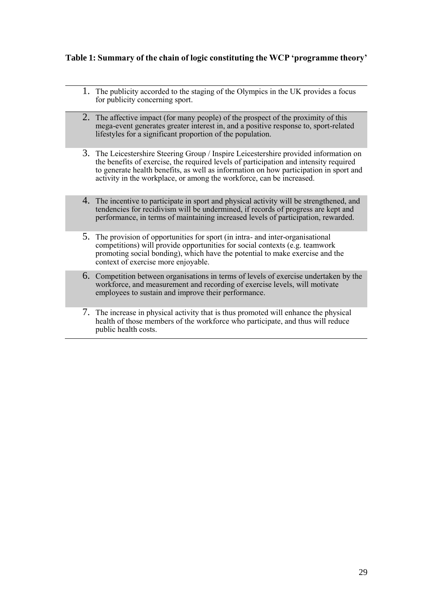#### **Table 1: Summary of the chain of logic constituting the WCP 'programme theory'**

- 1. The publicity accorded to the staging of the Olympics in the UK provides a focus for publicity concerning sport.
- 2. The affective impact (for many people) of the prospect of the proximity of this mega-event generates greater interest in, and a positive response to, sport-related lifestyles for a significant proportion of the population.
- 3. The Leicestershire Steering Group / Inspire Leicestershire provided information on the benefits of exercise, the required levels of participation and intensity required to generate health benefits, as well as information on how participation in sport and activity in the workplace, or among the workforce, can be increased.
- 4. The incentive to participate in sport and physical activity will be strengthened, and tendencies for recidivism will be undermined, if records of progress are kept and performance, in terms of maintaining increased levels of participation, rewarded.
- 5. The provision of opportunities for sport (in intra- and inter-organisational competitions) will provide opportunities for social contexts (e.g. teamwork promoting social bonding), which have the potential to make exercise and the context of exercise more enjoyable.
- 6. Competition between organisations in terms of levels of exercise undertaken by the workforce, and measurement and recording of exercise levels, will motivate employees to sustain and improve their performance.
- 7. The increase in physical activity that is thus promoted will enhance the physical health of those members of the workforce who participate, and thus will reduce public health costs.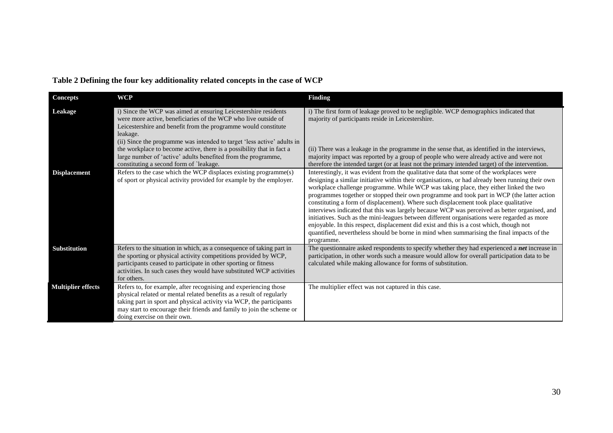|  |  |  | Table 2 Defining the four key additionality related concepts in the case of WCP |
|--|--|--|---------------------------------------------------------------------------------|
|--|--|--|---------------------------------------------------------------------------------|

| <b>Concepts</b>                | <b>WCP</b>                                                                                                                                                                                                                                                                                                                                                                                                                                                                                                                                                                                                                 | <b>Finding</b>                                                                                                                                                                                                                                                                                                                                                                                                                                                                                                                                                                                                                                                                                                                                                                                                                                                                                                                                                                                                                                                                                                                                                                                                                                                                                                                   |
|--------------------------------|----------------------------------------------------------------------------------------------------------------------------------------------------------------------------------------------------------------------------------------------------------------------------------------------------------------------------------------------------------------------------------------------------------------------------------------------------------------------------------------------------------------------------------------------------------------------------------------------------------------------------|----------------------------------------------------------------------------------------------------------------------------------------------------------------------------------------------------------------------------------------------------------------------------------------------------------------------------------------------------------------------------------------------------------------------------------------------------------------------------------------------------------------------------------------------------------------------------------------------------------------------------------------------------------------------------------------------------------------------------------------------------------------------------------------------------------------------------------------------------------------------------------------------------------------------------------------------------------------------------------------------------------------------------------------------------------------------------------------------------------------------------------------------------------------------------------------------------------------------------------------------------------------------------------------------------------------------------------|
| Leakage<br><b>Displacement</b> | i) Since the WCP was aimed at ensuring Leicestershire residents<br>were more active, beneficiaries of the WCP who live outside of<br>Leicestershire and benefit from the programme would constitute<br>leakage.<br>(ii) Since the programme was intended to target 'less active' adults in<br>the workplace to become active, there is a possibility that in fact a<br>large number of 'active' adults benefited from the programme,<br>constituting a second form of `leakage.<br>Refers to the case which the WCP displaces existing programme(s)<br>of sport or physical activity provided for example by the employer. | i) The first form of leakage proved to be negligible. WCP demographics indicated that<br>majority of participants reside in Leicestershire.<br>(ii) There was a leakage in the programme in the sense that, as identified in the interviews,<br>majority impact was reported by a group of people who were already active and were not<br>therefore the intended target (or at least not the primary intended target) of the intervention.<br>Interestingly, it was evident from the qualitative data that some of the workplaces were<br>designing a similar initiative within their organisations, or had already been running their own<br>workplace challenge programme. While WCP was taking place, they either linked the two<br>programmes together or stopped their own programme and took part in WCP (the latter action<br>constituting a form of displacement). Where such displacement took place qualitative<br>interviews indicated that this was largely because WCP was perceived as better organised, and<br>initiatives. Such as the mini-leagues between different organisations were regarded as more<br>enjoyable. In this respect, displacement did exist and this is a cost which, though not<br>quantified, nevertheless should be borne in mind when summarising the final impacts of the<br>programme. |
| <b>Substitution</b>            | Refers to the situation in which, as a consequence of taking part in<br>the sporting or physical activity competitions provided by WCP,<br>participants ceased to participate in other sporting or fitness<br>activities. In such cases they would have substituted WCP activities<br>for others.                                                                                                                                                                                                                                                                                                                          | The questionnaire asked respondents to specify whether they had experienced a net increase in<br>participation, in other words such a measure would allow for overall participation data to be<br>calculated while making allowance for forms of substitution.                                                                                                                                                                                                                                                                                                                                                                                                                                                                                                                                                                                                                                                                                                                                                                                                                                                                                                                                                                                                                                                                   |
| <b>Multiplier effects</b>      | Refers to, for example, after recognising and experiencing those<br>physical related or mental related benefits as a result of regularly<br>taking part in sport and physical activity via WCP, the participants<br>may start to encourage their friends and family to join the scheme or<br>doing exercise on their own.                                                                                                                                                                                                                                                                                                  | The multiplier effect was not captured in this case.                                                                                                                                                                                                                                                                                                                                                                                                                                                                                                                                                                                                                                                                                                                                                                                                                                                                                                                                                                                                                                                                                                                                                                                                                                                                             |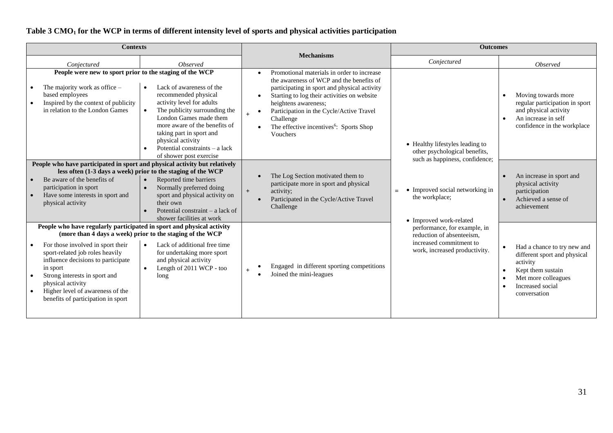## **Table 3 CMO<sup>1</sup> for the WCP in terms of different intensity level of sports and physical activities participation**

<span id="page-30-0"></span>

| <b>Contexts</b>                                                                                                                                                                                                                                                                                                                 |                                                                                                                                                                                                                                                                                         |                                                                                                                                                                                                                                                                                                                                                                                                      | <b>Outcomes</b>                                                                                                       |                                                                                                                                                                                                |
|---------------------------------------------------------------------------------------------------------------------------------------------------------------------------------------------------------------------------------------------------------------------------------------------------------------------------------|-----------------------------------------------------------------------------------------------------------------------------------------------------------------------------------------------------------------------------------------------------------------------------------------|------------------------------------------------------------------------------------------------------------------------------------------------------------------------------------------------------------------------------------------------------------------------------------------------------------------------------------------------------------------------------------------------------|-----------------------------------------------------------------------------------------------------------------------|------------------------------------------------------------------------------------------------------------------------------------------------------------------------------------------------|
| Conjectured                                                                                                                                                                                                                                                                                                                     | <b>Observed</b>                                                                                                                                                                                                                                                                         | <b>Mechanisms</b>                                                                                                                                                                                                                                                                                                                                                                                    | Conjectured                                                                                                           | <b>Observed</b>                                                                                                                                                                                |
| People were new to sport prior to the staging of the WCP<br>The majority work as office $-$<br>based employees<br>Inspired by the context of publicity<br>in relation to the London Games                                                                                                                                       | Lack of awareness of the<br>recommended physical<br>activity level for adults<br>The publicity surrounding the<br>London Games made them<br>more aware of the benefits of<br>taking part in sport and<br>physical activity<br>Potential constraints – a lack<br>of shower post exercise | Promotional materials in order to increase<br>$\bullet$<br>the awareness of WCP and the benefits of<br>participating in sport and physical activity<br>Starting to log their activities on website<br>$\bullet$<br>heightens awareness;<br>Participation in the Cycle/Active Travel<br>$\bullet$<br>$+$<br>Challenge<br>The effective incentives <sup>6</sup> : Sports Shop<br>$\bullet$<br>Vouchers | • Healthy lifestyles leading to<br>other psychological benefits,<br>such as happiness, confidence;                    | Moving towards more<br>regular participation in sport<br>and physical activity<br>An increase in self<br>$\bullet$<br>confidence in the workplace                                              |
| People who have participated in sport and physical activity but relatively<br>Be aware of the benefits of<br>participation in sport<br>Have some interests in sport and<br>physical activity                                                                                                                                    | less often (1-3 days a week) prior to the staging of the WCP<br>Reported time barriers<br>Normally preferred doing<br>sport and physical activity on<br>their own<br>Potential constraint – a lack of<br>shower facilities at work                                                      | The Log Section motivated them to<br>$\bullet$<br>participate more in sport and physical<br>activity;<br>$+$<br>Participated in the Cycle/Active Travel<br>$\bullet$<br>Challenge                                                                                                                                                                                                                    | Improved social networking in<br>$=$<br>the workplace;<br>• Improved work-related                                     | An increase in sport and<br>physical activity<br>participation<br>Achieved a sense of<br>$\bullet$<br>achievement                                                                              |
| People who have regularly participated in sport and physical activity<br>For those involved in sport their<br>sport-related job roles heavily<br>influence decisions to participate<br>in sport<br>Strong interests in sport and<br>physical activity<br>Higher level of awareness of the<br>benefits of participation in sport | (more than 4 days a week) prior to the staging of the WCP<br>Lack of additional free time<br>for undertaking more sport<br>and physical activity<br>Length of 2011 WCP - too<br>long                                                                                                    | Engaged in different sporting competitions<br>Joined the mini-leagues<br>$\bullet$                                                                                                                                                                                                                                                                                                                   | performance, for example, in<br>reduction of absenteeism,<br>increased commitment to<br>work, increased productivity. | Had a chance to try new and<br>$\bullet$<br>different sport and physical<br>activity<br>Kept them sustain<br>$\bullet$<br>Met more colleagues<br>$\bullet$<br>Increased social<br>conversation |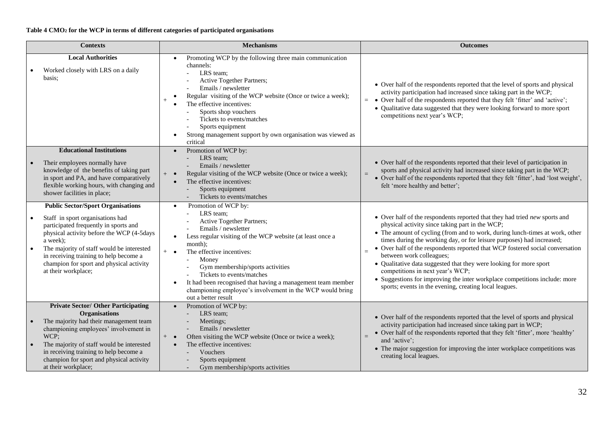#### **Table 4 CMO<sup>2</sup> for the WCP in terms of different categories of participated organisations**

| <b>Contexts</b> |                                                                                                                                                                                                                                                                                                                                          | <b>Mechanisms</b>                                                                                                                                                                                                                                                                                                                                                                                                                                                                 | <b>Outcomes</b>                                                                                                                                                                                                                                                                                                                                                                                                                                                                                                                                                                                                                                              |  |
|-----------------|------------------------------------------------------------------------------------------------------------------------------------------------------------------------------------------------------------------------------------------------------------------------------------------------------------------------------------------|-----------------------------------------------------------------------------------------------------------------------------------------------------------------------------------------------------------------------------------------------------------------------------------------------------------------------------------------------------------------------------------------------------------------------------------------------------------------------------------|--------------------------------------------------------------------------------------------------------------------------------------------------------------------------------------------------------------------------------------------------------------------------------------------------------------------------------------------------------------------------------------------------------------------------------------------------------------------------------------------------------------------------------------------------------------------------------------------------------------------------------------------------------------|--|
|                 | <b>Local Authorities</b><br>Worked closely with LRS on a daily<br>basis:                                                                                                                                                                                                                                                                 | Promoting WCP by the following three main communication<br>channels:<br>LRS team;<br>Active Together Partners;<br>Emails / newsletter<br>Regular visiting of the WCP website (Once or twice a week);<br>The effective incentives:<br>Sports shop vouchers<br>Tickets to events/matches<br>Sports equipment<br>Strong management support by own organisation was viewed as<br>critical                                                                                             | • Over half of the respondents reported that the level of sports and physical<br>activity participation had increased since taking part in the WCP;<br>• Over half of the respondents reported that they felt 'fitter' and 'active';<br>$=$<br>• Qualitative data suggested that they were looking forward to more sport<br>competitions next year's WCP;                                                                                                                                                                                                                                                                                                    |  |
|                 | <b>Educational Institutions</b><br>Their employees normally have<br>knowledge of the benefits of taking part<br>in sport and PA, and have comparatively<br>flexible working hours, with changing and<br>shower facilities in place;                                                                                                      | Promotion of WCP by:<br>LRS team;<br>Emails / newsletter<br>Regular visiting of the WCP website (Once or twice a week);<br>$^{+}$<br>The effective incentives:<br>Sports equipment<br>Tickets to events/matches                                                                                                                                                                                                                                                                   | • Over half of the respondents reported that their level of participation in<br>sports and physical activity had increased since taking part in the WCP;<br>$\quad =$<br>• Over half of the respondents reported that they felt 'fitter', had 'lost weight',<br>felt 'more healthy and better';                                                                                                                                                                                                                                                                                                                                                              |  |
|                 | <b>Public Sector/Sport Organisations</b><br>Staff in sport organisations had<br>participated frequently in sports and<br>physical activity before the WCP (4-5days<br>a week);<br>The majority of staff would be interested<br>in receiving training to help become a<br>champion for sport and physical activity<br>at their workplace; | Promotion of WCP by:<br>LRS team;<br>$\overline{\phantom{a}}$<br>Active Together Partners;<br>Emails / newsletter<br>Less regular visiting of the WCP website (at least once a<br>month);<br>The effective incentives:<br>$+$ $\bullet$<br>Money<br>Gym membership/sports activities<br>Tickets to events/matches<br>It had been recognised that having a management team member<br>$\bullet$<br>championing employee's involvement in the WCP would bring<br>out a better result | • Over half of the respondents reported that they had tried new sports and<br>physical activity since taking part in the WCP;<br>• The amount of cycling (from and to work, during lunch-times at work, other<br>times during the working day, or for leisure purposes) had increased;<br>• Over half of the respondents reported that WCP fostered social conversation<br>$=$<br>between work colleagues;<br>• Qualitative data suggested that they were looking for more sport<br>competitions in next year's WCP;<br>• Suggestions for improving the inter workplace competitions include: more<br>sports; events in the evening, creating local leagues. |  |
|                 | <b>Private Sector/ Other Participating</b><br><b>Organisations</b><br>The majority had their management team<br>championing employees' involvement in<br>WCP;<br>The majority of staff would be interested<br>in receiving training to help become a<br>champion for sport and physical activity<br>at their workplace;                  | Promotion of WCP by:<br>LRS team;<br>Meetings;<br>Emails / newsletter<br>Often visiting the WCP website (Once or twice a week);<br>$+$ $\bullet$<br>The effective incentives:<br>Vouchers<br>Sports equipment<br>Gym membership/sports activities                                                                                                                                                                                                                                 | • Over half of the respondents reported that the level of sports and physical<br>activity participation had increased since taking part in WCP;<br>• Over half of the respondents reported that they felt 'fitter', more 'healthy'<br>and 'active';<br>• The major suggestion for improving the inter workplace competitions was<br>creating local leagues.                                                                                                                                                                                                                                                                                                  |  |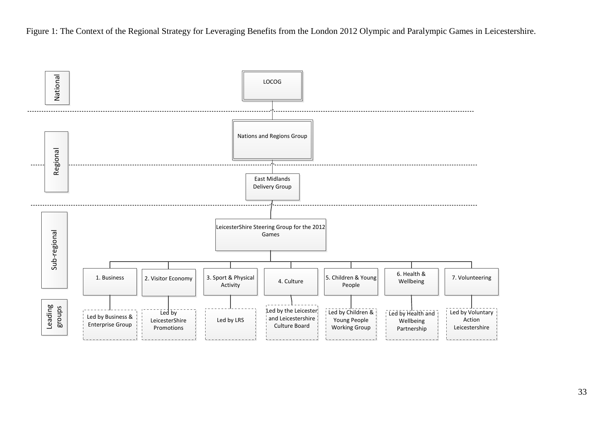Figure 1: The Context of the Regional Strategy for Leveraging Benefits from the London 2012 Olympic and Paralympic Games in Leicestershire.



33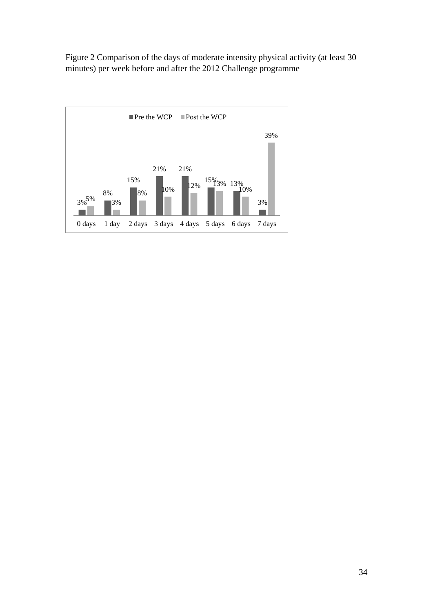Figure 2 Comparison of the days of moderate intensity physical activity (at least 30 minutes) per week before and after the 2012 Challenge programme

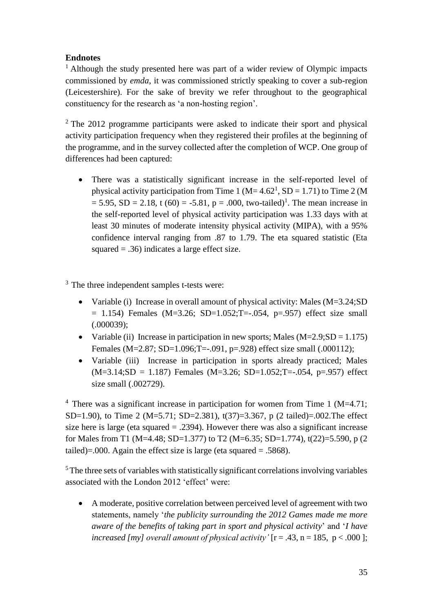## **Endnotes**

<sup>1</sup> Although the study presented here was part of a wider review of Olympic impacts commissioned by *emda*, it was commissioned strictly speaking to cover a sub-region (Leicestershire). For the sake of brevity we refer throughout to the geographical constituency for the research as 'a non-hosting region'.

 $2$  The 2012 programme participants were asked to indicate their sport and physical activity participation frequency when they registered their profiles at the beginning of the programme, and in the survey collected after the completion of WCP. One group of differences had been captured:

 There was a statistically significant increase in the self-reported level of physical activity participation from Time 1 ( $M = 4.62<sup>1</sup>$ , SD = 1.71) to Time 2 (M  $= 5.95$ , SD = 2.18, t (60) = -5.81, p = .000, two-tailed)<sup>1</sup>. The mean increase in the self-reported level of physical activity participation was 1.33 days with at least 30 minutes of moderate intensity physical activity (MIPA), with a 95% confidence interval ranging from .87 to 1.79. The eta squared statistic (Eta squared  $= .36$ ) indicates a large effect size.

<sup>3</sup> The three independent samples t-tests were:

- Variable (i) Increase in overall amount of physical activity: Males (M=3.24;SD  $= 1.154$ ) Females (M=3.26; SD=1.052;T=-.054, p=.957) effect size small (.000039);
- Variable (ii) Increase in participation in new sports; Males  $(M=2.9; SD = 1.175)$ Females (M=2.87; SD=1.096;T=-.091, p=.928) effect size small (.000112);
- Variable (iii) Increase in participation in sports already practiced; Males  $(M=3.14; SD = 1.187)$  Females  $(M=3.26; SD=1.052; T=.054, p=.957)$  effect size small (.002729).

<sup>4</sup> There was a significant increase in participation for women from Time 1 (M=4.71; SD=1.90), to Time 2 (M=5.71; SD=2.381), t(37)=3.367, p (2 tailed)=.002.The effect size here is large (eta squared  $= .2394$ ). However there was also a significant increase for Males from T1 (M=4.48; SD=1.377) to T2 (M=6.35; SD=1.774),  $t(22)=5.590$ , p (2) tailed)=.000. Again the effect size is large (eta squared  $= .5868$ ).

<sup>5</sup>The three sets of variables with statistically significant correlations involving variables associated with the London 2012 'effect' were:

 A moderate, positive correlation between perceived level of agreement with two statements, namely '*the publicity surrounding the 2012 Games made me more aware of the benefits of taking part in sport and physical activity*' and '*I have increased [my] overall amount of physical activity'*  $[r = .43, n = 185, p < .000]$ ;